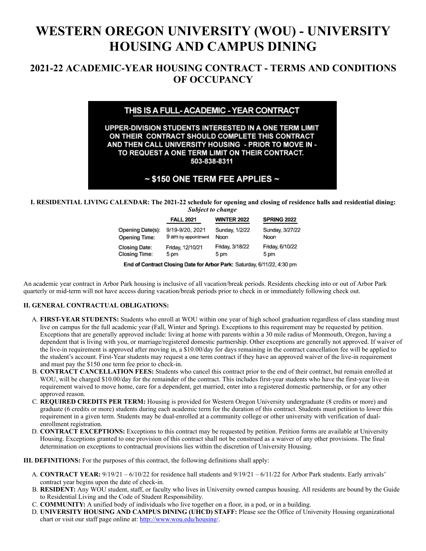# **WESTERN OREGON UNIVERSITY (WOU) - UNIVERSITY HOUSING AND CAMPUS DINING**

# **2021-22 ACADEMIC-YEAR HOUSING CONTRACT - TERMS AND CONDITIONS OF OCCUPANCY**

# THIS IS A FULL-ACADEMIC - YEAR CONTRACT

UPPER-DIVISION STUDENTS INTERESTED IN A ONE TERM LIMIT ON THEIR CONTRACT SHOULD COMPLETE THIS CONTRACT AND THEN CALL UNIVERSITY HOUSING - PRIOR TO MOVE IN -TO REQUEST A ONE TERM LIMIT ON THEIR CONTRACT. 503-838-8311

# $\sim$  \$150 ONE TERM FEE APPLIES  $\sim$

**I. RESIDENTIAL LIVING CALENDAR: The 2021-22 schedule for opening and closing of residence halls and residential dining:** *Subject to change*

|                      | <b>FALL 2021</b>    | <b>WINTER 2022</b> | <b>SPRING 2022</b> |  |  |
|----------------------|---------------------|--------------------|--------------------|--|--|
| Opening Date(s):     | 9/19-9/20, 2021     | Sunday, 1/2/22     | Sunday, 3/27/22    |  |  |
| <b>Opening Time:</b> | 9 am by appointment | Noon               | Noon               |  |  |
| <b>Closing Date:</b> | Friday, 12/10/21    | Friday, 3/18/22    | Friday, 6/10/22    |  |  |
| <b>Closing Time:</b> | 5 pm                | 5 pm               | 5 pm               |  |  |

End of Contract Closing Date for Arbor Park: Saturday, 6/11/22, 4:30 pm

An academic year contract in Arbor Park housing is inclusive of all vacation/break periods. Residents checking into or out of Arbor Park quarterly or mid-term will not have access during vacation/break periods prior to check in or immediately following check out.

# **II. GENERAL CONTRACTUAL OBLIGATIONS:**

- A. **FIRST-YEAR STUDENTS:** Students who enroll at WOU within one year of high school graduation regardless of class standing must live on campus for the full academic year (Fall, Winter and Spring). Exceptions to this requirement may be requested by petition. Exceptions that are generally approved include: living at home with parents within a 30 mile radius of Monmouth, Oregon, having a dependent that is living with you, or marriage/registered domestic partnership. Other exceptions are generally not approved. If waiver of the live-in requirement is approved after moving in, a \$10.00/day for days remaining in the contract cancellation fee will be applied to the student's account. First-Year students may request a one term contract if they have an approved waiver of the live-in requirement and must pay the \$150 one term fee prior to check-in.
- B. **CONTRACT CANCELLATION FEES:** Students who cancel this contract prior to the end of their contract, but remain enrolled at WOU, will be charged \$10.00/day for the remainder of the contract. This includes first-year students who have the first-year live-in requirement waived to move home, care for a dependent, get married, enter into a registered domestic partnership, or for any other approved reason.
- C. **REQUIRED CREDITS PER TERM:** Housing is provided for Western Oregon University undergraduate (8 credits or more) and graduate (6 credits or more) students during each academic term for the duration of this contract. Students must petition to lower this requirement in a given term. Students may be dual-enrolled at a community college or other university with verification of dualenrollment registration.
- D. **CONTRACT EXCEPTIONS:** Exceptions to this contract may be requested by petition. Petition forms are available at University Housing. Exceptions granted to one provision of this contract shall not be construed as a waiver of any other provisions. The final determination on exceptions to contractual provisions lies within the discretion of University Housing.

**III. DEFINITIONS:** For the purposes of this contract, the following definitions shall apply:

- A. **CONTRACT YEAR:** 9/19/21 6/10/22 for residence hall students and 9/19/21 6/11/22 for Arbor Park students. Early arrivals' contract year begins upon the date of check-in.
- B. **RESIDENT:** Any WOU student, staff, or faculty who lives in University owned campus housing. All residents are bound by the Guide to Residential Living and the Code of Student Responsibility.
- C. **COMMUNITY:** A unified body of individuals who live together on a floor, in a pod, or in a building.
- D. **UNIVERSITY HOUSING AND CAMPUS DINING (UHCD) STAFF:** Please see the Office of University Housing organizational chart or visit our staff page online at: [http://www.wou.edu/housing/.](http://www.wou.edu/housing/)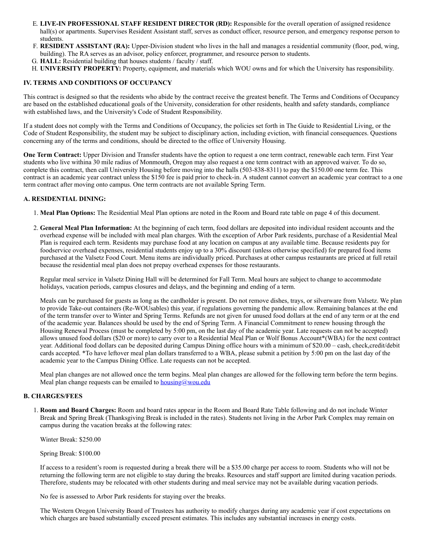- E. **LIVE-IN PROFESSIONAL STAFF RESIDENT DIRECTOR (RD):** Responsible for the overall operation of assigned residence hall(s) or apartments. Supervises Resident Assistant staff, serves as conduct officer, resource person, and emergency response person to students.
- F. **RESIDENT ASSISTANT (RA):** Upper-Division student who lives in the hall and manages a residential community (floor, pod, wing, building). The RA serves as an advisor, policy enforcer, programmer, and resource person to students.
- G. **HALL:** Residential building that houses students / faculty / staff.
- H. **UNIVERSITY PROPERTY:** Property, equipment, and materials which WOU owns and for which the University has responsibility.

## **IV. TERMS AND CONDITIONS OF OCCUPANCY**

This contract is designed so that the residents who abide by the contract receive the greatest benefit. The Terms and Conditions of Occupancy are based on the established educational goals of the University, consideration for other residents, health and safety standards, compliance with established laws, and the University's Code of Student Responsibility.

If a student does not comply with the Terms and Conditions of Occupancy, the policies set forth in The Guide to Residential Living, or the Code of Student Responsibility, the student may be subject to disciplinary action, including eviction, with financial consequences. Questions concerning any of the terms and conditions, should be directed to the office of University Housing.

**One Term Contract:** Upper Division and Transfer students have the option to request a one term contract, renewable each term. First Year students who live withina 30 mile radius of Monmouth, Oregon may also request a one term contract with an approved waiver. To do so, complete this contract, then call University Housing before moving into the halls (503-838-8311) to pay the \$150.00 one term fee. This contract is an academic year contract unless the \$150 fee is paid prior to check-in. A student cannot convert an academic year contract to a one term contract after moving onto campus. One term contracts are not available Spring Term.

## **A. RESIDENTIAL DINING:**

- 1. **Meal Plan Options:** The Residential Meal Plan options are noted in the Room and Board rate table on page 4 of this document.
- 2. **General Meal Plan Information:** At the beginning of each term, food dollars are deposited into individual resident accounts and the overhead expense will be included with meal plan charges. With the exception of Arbor Park residents, purchase of a Residential Meal Plan is required each term. Residents may purchase food at any location on campus at any available time. Because residents pay for foodservice overhead expenses, residential students enjoy up to a 30% discount (unless otherwise specified) for prepared food items purchased at the Valsetz Food Court. Menu items are individually priced. Purchases at other campus restaurants are priced at full retail because the residential meal plan does not prepay overhead expenses for those restaurants.

Regular meal service in Valsetz Dining Hall will be determined for Fall Term. Meal hours are subject to change to accommodate holidays, vacation periods, campus closures and delays, and the beginning and ending of a term.

Meals can be purchased for guests as long as the cardholder is present. Do not remove dishes, trays, or silverware from Valsetz. We plan to provide Take-out containers (Re-WOUsables) this year, if regulations governing the pandemic allow. Remaining balances at the end of the term transfer over to Winter and Spring Terms. Refunds are not given for unused food dollars at the end of any term or at the end of the academic year. Balances should be used by the end of Spring Term. A Financial Commitment to renew housing through the Housing Renewal Process (must be completed by 5:00 pm, on the last day of the academic year. Late requests can not be accepted) allows unused food dollars (\$20 or more) to carry over to a Residential Meal Plan or Wolf Bonus Account\*(WBA) for the next contract year. Additional food dollars can be deposited during Campus Dining office hours with a minimum of \$20.00 – cash, check,credit/debit cards accepted. \*To have leftover meal plan dollars transferred to a WBA, please submit a petition by 5:00 pm on the last day of the academic year to the Campus Dining Office. Late requests can not be accepted.

Meal plan changes are not allowed once the term begins. Meal plan changes are allowed for the following term before the term begins. Meal plan change requests can be emailed to  $\underline{housing}(a)$ wou.edu

#### **B. CHARGES/FEES**

1. **Room and Board Charges:** Room and board rates appear in the Room and Board Rate Table following and do not include Winter Break and Spring Break (Thanksgiving Break is included in the rates). Students not living in the Arbor Park Complex may remain on campus during the vacation breaks at the following rates:

Winter Break: \$250.00

Spring Break: \$100.00

If access to a resident's room is requested during a break there will be a \$35.00 charge per access to room. Students who will not be returning the following term are not eligible to stay during the breaks. Resources and staff support are limited during vacation periods. Therefore, students may be relocated with other students during and meal service may not be available during vacation periods.

No fee is assessed to Arbor Park residents for staying over the breaks.

The Western Oregon University Board of Trustees has authority to modify charges during any academic year if cost expectations on which charges are based substantially exceed present estimates. This includes any substantial increases in energy costs.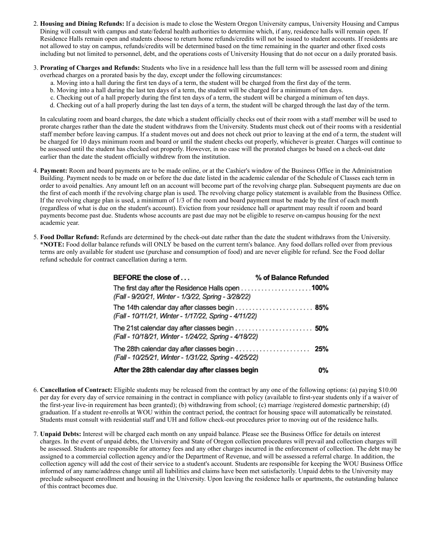- 2. **Housing and Dining Refunds:** If a decision is made to close the Western Oregon University campus, University Housing and Campus Dining will consult with campus and state/federal health authorities to determine which, if any, residence halls will remain open. If Residence Halls remain open and students choose to return home refunds/credits will not be issued to student accounts. If residents are not allowed to stay on campus, refunds/credits will be determined based on the time remaining in the quarter and other fixed costs including but not limited to personnel, debt, and the operations costs of University Housing that do not occur on a daily prorated basis.
- 3. **Prorating of Charges and Refunds:** Students who live in a residence hall less than the full term will be assessed room and dining overhead charges on a prorated basis by the day, except under the following circumstances:
	- a. Moving into a hall during the first ten days of a term, the student will be charged from the first day of the term.
	- b. Moving into a hall during the last ten days of a term, the student will be charged for a minimum of ten days.
	- c. Checking out of a hall properly during the first ten days of a term, the student will be charged a minimum of ten days.
	- d. Checking out of a hall properly during the last ten days of a term, the student will be charged through the last day of the term.

In calculating room and board charges, the date which a student officially checks out of their room with a staff member will be used to prorate charges rather than the date the student withdraws from the University. Students must check out of their rooms with a residential staff member before leaving campus. If a student moves out and does not check out prior to leaving at the end of a term, the student will be charged for 10 days minimum room and board or until the student checks out properly, whichever is greater. Charges will continue to be assessed until the student has checked out properly. However, in no case will the prorated charges be based on a check-out date earlier than the date the student officially withdrew from the institution.

- 4. **Payment:** Room and board payments are to be made online, or at the Cashier's window of the Business Office in the Administration Building. Payment needs to be made on or before the due date listed in the academic calendar of the Schedule of Classes each term in order to avoid penalties. Any amount left on an account will become part of the revolving charge plan. Subsequent payments are due on the first of each month if the revolving charge plan is used. The revolving charge policy statement is available from the Business Office. If the revolving charge plan is used, a minimum of 1/3 of the room and board payment must be made by the first of each month (regardless of what is due on the student's account). Eviction from your residence hall or apartment may result if room and board payments become past due. Students whose accounts are past due may not be eligible to reserve on-campus housing for the next academic year.
- 5. **Food Dollar Refund:** Refunds are determined by the check-out date rather than the date the student withdraws from the University. **\*NOTE:** Food dollar balance refunds will ONLY be based on the current term's balance. Any food dollars rolled over from previous terms are only available for student use (purchase and consumption of food) and are never eligible for refund. See the Food dollar refund schedule for contract cancellation during a term.

| BEFORE the close of                                                                                                                                | % of Balance Refunded |
|----------------------------------------------------------------------------------------------------------------------------------------------------|-----------------------|
| The first day after the Residence Halls open 100%<br>(Fall - 9/20/21, Winter - 1/3/22, Spring - 3/28/22)                                           |                       |
| The 14th calendar day after classes begin $\ldots \ldots \ldots \ldots \ldots \ldots$ 85%<br>(Fall - 10/11/21, Winter - 1/17/22, Spring - 4/11/22) |                       |
| (Fall - 10/18/21, Winter - 1/24/22, Spring - 4/18/22)                                                                                              |                       |
| The 28th calendar day after classes begin $\ldots \ldots \ldots \ldots \ldots$<br>(Fall - 10/25/21, Winter - 1/31/22, Spring - 4/25/22)            |                       |
| After the 28th calendar day after classes begin                                                                                                    | 0%                    |

- 6. **Cancellation of Contract:** Eligible students may be released from the contract by any one of the following options: (a) paying \$10.00 per day for every day of service remaining in the contract in compliance with policy (available to first-year students only if a waiver of the first-year live-in requirement has been granted); (b) withdrawing from school; (c) marriage /registered domestic partnership; (d) graduation. If a student re-enrolls at WOU within the contract period, the contract for housing space will automatically be reinstated. Students must consult with residential staff and UH and follow check-out procedures prior to moving out of the residence halls.
- 7. **Unpaid Debts:** Interest will be charged each month on any unpaid balance. Please see the Business Office for details on interest charges. In the event of unpaid debts, the University and State of Oregon collection procedures will prevail and collection charges will be assessed. Students are responsible for attorney fees and any other charges incurred in the enforcement of collection. The debt may be assigned to a commercial collection agency and/or the Department of Revenue, and will be assessed a referral charge. In addition, the collection agency will add the cost of their service to a student's account. Students are responsible for keeping the WOU Business Office informed of any name/address change until all liabilities and claims have been met satisfactorily. Unpaid debts to the University may preclude subsequent enrollment and housing in the University. Upon leaving the residence halls or apartments, the outstanding balance of this contract becomes due.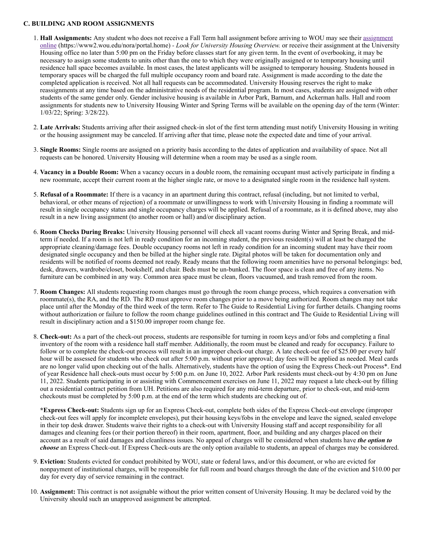#### **C. BUILDING AND ROOM ASSIGNMENTS**

- 1. **Hall Assignments:** [Any student who does not receive a Fall Term hall assignment before arriving to WOU may see their assignment](https://www2.wou.edu/nora/portal.home) online (https://www2.wou.edu/nora/portal.home) *- Look for University Housing Overview.* or receive their assignment at the University Housing office no later than 5:00 pm on the Friday before classes start for any given term. In the event of overbooking, it may be necessary to assign some students to units other than the one to which they were originally assigned or to temporary housing until residence hall space becomes available. In most cases, the latest applicants will be assigned to temporary housing. Students housed in temporary spaces will be charged the full multiple occupancy room and board rate. Assignment is made according to the date the completed application is received. Not all hall requests can be accommodated. University Housing reserves the right to make reassignments at any time based on the administrative needs of the residential program. In most cases, students are assigned with other students of the same gender only. Gender inclusive housing is available in Arbor Park, Barnum, and Ackerman halls. Hall and room assignments for students new to University Housing Winter and Spring Terms will be available on the opening day of the term (Winter: 1/03/22; Spring: 3/28/22).
- 2. **Late Arrivals:** Students arriving after their assigned check-in slot of the first term attending must notify University Housing in writing or the housing assignment may be canceled. If arriving after that time, please note the expected date and time of your arrival.
- 3. **Single Rooms:** Single rooms are assigned on a priority basis according to the dates of application and availability of space. Not all requests can be honored. University Housing will determine when a room may be used as a single room.
- 4. **Vacancy in a Double Room:** When a vacancy occurs in a double room, the remaining occupant must actively participate in finding a new roommate, accept their current room at the higher single rate, or move to a designated single room in the residence hall system.
- 5. **Refusal of a Roommate:** If there is a vacancy in an apartment during this contract, refusal (including, but not limited to verbal, behavioral, or other means of rejection) of a roommate or unwillingness to work with University Housing in finding a roommate will result in single occupancy status and single occupancy charges will be applied. Refusal of a roommate, as it is defined above, may also result in a new living assignment (to another room or hall) and/or disciplinary action.
- 6. **Room Checks During Breaks:** University Housing personnel will check all vacant rooms during Winter and Spring Break, and midterm if needed. If a room is not left in ready condition for an incoming student, the previous resident(s) will at least be charged the appropriate cleaning/damage fees. Double occupancy rooms not left in ready condition for an incoming student may have their room designated single occupancy and then be billed at the higher single rate. Digital photos will be taken for documentation only and residents will be notified of rooms deemed not ready. Ready means that the following room amenities have no personal belongings: bed, desk, drawers, wardrobe/closet, bookshelf, and chair. Beds must be un-bunked. The floor space is clean and free of any items. No furniture can be combined in any way. Common area space must be clean, floors vacuumed, and trash removed from the room.
- 7. **Room Changes:** All students requesting room changes must go through the room change process, which requires a conversation with roommate(s), the RA, and the RD. The RD must approve room changes prior to a move being authorized. Room changes may not take place until after the Monday of the third week of the term. Refer to The Guide to Residential Living for further details. Changing rooms without authorization or failure to follow the room change guidelines outlined in this contract and The Guide to Residential Living will result in disciplinary action and a \$150.00 improper room change fee.
- 8. **Check-out:** As a part of the check-out process, students are responsible for turning in room keys and/or fobs and completing a final inventory of the room with a residence hall staff member. Additionally, the room must be cleaned and ready for occupancy. Failure to follow or to complete the check-out process will result in an improper check-out charge. A late check-out fee of \$25.00 per every half hour will be assessed for students who check out after 5:00 p.m. without prior approval; day fees will be applied as needed. Meal cards are no longer valid upon checking out of the halls. Alternatively, students have the option of using the Express Check-out Process\*. End of year Residence hall check-outs must occur by 5:00 p.m. on June 10, 2022. Arbor Park residents must check-out by 4:30 pm on June 11, 2022. Students participating in or assisting with Commencement exercises on June 11, 2022 may request a late check-out by filling out a residential contract petition from UH. Petitions are also required for any mid-term departure, prior to check-out, and mid-term checkouts must be completed by 5:00 p.m. at the end of the term which students are checking out of.

**\*Express Check-out:** Students sign up for an Express Check-out, complete both sides of the Express Check-out envelope (improper check-out fees will apply for incomplete envelopes), put their housing keys/fobs in the envelope and leave the signed, sealed envelope in their top desk drawer. Students waive their rights to a check-out with University Housing staff and accept responsibility for all damages and cleaning fees (or their portion thereof) in their room, apartment, floor, and building and any charges placed on their account as a result of said damages and cleanliness issues. No appeal of charges will be considered when students have *the option to choose* an Express Check-out. If Express Check-outs are the only option available to students, an appeal of charges may be considered.

- 9. **Eviction:** Students evicted for conduct prohibited by WOU, state or federal laws, and/or this document, or who are evicted for nonpayment of institutional charges, will be responsible for full room and board charges through the date of the eviction and \$10.00 per day for every day of service remaining in the contract.
- 10. **Assignment:** This contract is not assignable without the prior written consent of University Housing. It may be declared void by the University should such an unapproved assignment be attempted.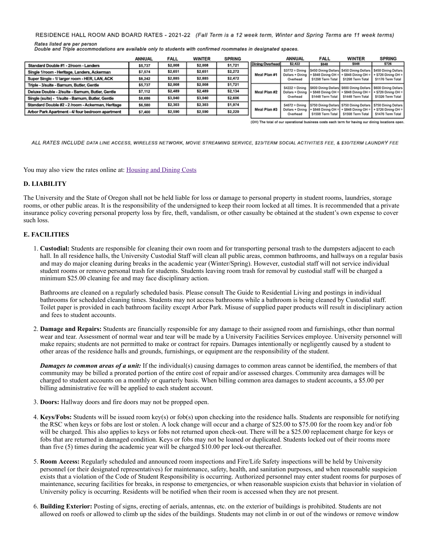RESIDENCE HALL ROOM AND BOARD RATES - 2021-22 (Fall Term is a 12 week term, Winter and Spring Terms are 11 week terms)

Rates listed are per person Double and Triple accommodations are available only to students with confirmed roommates in designated spaces.

|                                                   | <b>ANNUAL</b> | <b>FALL</b> | <b>WINTER</b> | <b>SPRING</b> |                        | <b>ANNUAL</b>                                    | <b>FALL</b>                                                 | <b>WINTER</b>                                                                                                | <b>SPRING</b>                                                  |
|---------------------------------------------------|---------------|-------------|---------------|---------------|------------------------|--------------------------------------------------|-------------------------------------------------------------|--------------------------------------------------------------------------------------------------------------|----------------------------------------------------------------|
| Standard Double #1 - 2/room - Landers             | \$5,737       | \$2,008     | \$2,008       | \$1,721       | <b>Dining Overhead</b> | \$2,422                                          | \$848                                                       | \$848                                                                                                        | \$726                                                          |
| Single 1/room - Heritage, Landers, Ackerman       | \$7,574       | \$2,651     | \$2,651       | \$2,272       | Meal Plan #1           | $$3772 = Diming$<br>Dollars + Dining<br>Overhead | + \$848 Dining OH<br>\$1298 Term Total                      | \$450 Dining Dollars \$450 Dining Dollars \$450 Dining Dollars<br>$+$ \$848 Dining OH =<br>\$1298 Term Total | $\frac{1}{2}$ + \$726 Dining OH =<br>\$1176 Term Total         |
| Super Single - 1/ larger room - HER, LAN, ACK     | \$8,242       | \$2,885     | \$2,885       | \$2,472       |                        |                                                  |                                                             |                                                                                                              |                                                                |
| Triple - 3/suite - Barnum, Butler, Gentle         | \$5,737       | \$2,008     | \$2,008       | \$1,721       |                        | $$4222 \equiv$ Dining                            |                                                             | IS600 Dining Dollars S600 Dining Dollars   \$600 Dining Dollars                                              |                                                                |
| Deluxe Double - 2/suite - Barnum, Butler, Gentle  | \$7,112       | \$2,489     | \$2,489       | \$2,134       | Meal Plan #2           | Dollars + Dining                                 | + \$848 Dining OH :                                         | $+$ \$848 Dining OH =                                                                                        | $+ $726$ Dining OH =                                           |
| Single (suite) - 1/suite - Barnum, Butler, Gentle | \$8,686       | \$3,040     | \$3,040       | \$2,606       |                        | Overhead                                         | \$1448 Term Total                                           | \$1448 Term Total                                                                                            | \$1326 Term Total                                              |
| Standard Double #2 - 2 /room - Ackerman, Heritage | \$6,580       | \$2,303     | \$2,303       | \$1,974       |                        | $$4672 \equiv$ Dining                            |                                                             | S750 Dining Dollars S750 Dining Dollars S750 Dining Dollars                                                  |                                                                |
| Arbor Park Apartment - 4/ four bedroom apartment  | \$7,400       | \$2,590     | \$2,590       | \$2,220       | Meal Plan #3           | Overhead                                         | Dollars + Dining   + \$848 Dining OH =<br>\$1598 Term Total | \$1598 Term Total                                                                                            | + \$848 Dining OH = 1 + \$726 Dining OH =<br>\$1476 Term Total |

(OH) The total of our operational business costs each term for having our dining locations open

ALL RATES INCLUDE DATA LINE ACCESS, WIRELESS NETWORK, MOVIE STREAMING SERVICE, \$23/TERM SOCIAL ACTIVITIES FEE, & \$30/TERM LAUNDRY FEE

You may also view the rates online at: [Housing and Dining Costs](https://wou.edu/housing/costs/)

# **D. LIABILITY**

The University and the State of Oregon shall not be held liable for loss or damage to personal property in student rooms, laundries, storage rooms, or other public areas. It is the responsibility of the undersigned to keep their room locked at all times. It is recommended that a private insurance policy covering personal property loss by fire, theft, vandalism, or other casualty be obtained at the student's own expense to cover such loss.

## **E. FACILITIES**

1. **Custodial:** Students are responsible for cleaning their own room and for transporting personal trash to the dumpsters adjacent to each hall. In all residence halls, the University Custodial Staff will clean all public areas, common bathrooms, and hallways on a regular basis and may do major cleaning during breaks in the academic year (Winter/Spring). However, custodial staff will not service individual student rooms or remove personal trash for students. Students leaving room trash for removal by custodial staff will be charged a minimum \$25.00 cleaning fee and may face disciplinary action.

Bathrooms are cleaned on a regularly scheduled basis. Please consult The Guide to Residential Living and postings in individual bathrooms for scheduled cleaning times. Students may not access bathrooms while a bathroom is being cleaned by Custodial staff. Toilet paper is provided in each bathroom facility except Arbor Park. Misuse of supplied paper products will result in disciplinary action and fees to student accounts.

2. **Damage and Repairs:** Students are financially responsible for any damage to their assigned room and furnishings, other than normal wear and tear. Assessment of normal wear and tear will be made by a University Facilities Services employee. University personnel will make repairs; students are not permitted to make or contract for repairs. Damages intentionally or negligently caused by a student to other areas of the residence halls and grounds, furnishings, or equipment are the responsibility of the student.

*Damages to common areas of a unit:* If the individual(s) causing damages to common areas cannot be identified, the members of that community may be billed a prorated portion of the entire cost of repair and/or assessed charges. Community area damages will be charged to student accounts on a monthly or quarterly basis. When billing common area damages to student accounts, a \$5.00 per billing administrative fee will be applied to each student account.

- 3. **Doors:** Hallway doors and fire doors may not be propped open.
- 4. **Keys/Fobs:** Students will be issued room key(s) or fob(s) upon checking into the residence halls. Students are responsible for notifying the RSC when keys or fobs are lost or stolen. A lock change will occur and a charge of \$25.00 to \$75.00 for the room key and/or fob will be charged. This also applies to keys or fobs not returned upon check-out. There will be a \$25.00 replacement charge for keys or fobs that are returned in damaged condition. Keys or fobs may not be loaned or duplicated. Students locked out of their rooms more than five (5) times during the academic year will be charged \$10.00 per lock-out thereafter.
- 5. **Room Access:** Regularly scheduled and announced room inspections and Fire/Life Safety inspections will be held by University personnel (or their designated representatives) for maintenance, safety, health, and sanitation purposes, and when reasonable suspicion exists that a violation of the Code of Student Responsibility is occurring. Authorized personnel may enter student rooms for purposes of maintenance, securing facilities for breaks, in response to emergencies, or when reasonable suspicion exists that behavior in violation of University policy is occurring. Residents will be notified when their room is accessed when they are not present.
- 6. **Building Exterior:** Posting of signs, erecting of aerials, antennas, etc. on the exterior of buildings is prohibited. Students are not allowed on roofs or allowed to climb up the sides of the buildings. Students may not climb in or out of the windows or remove window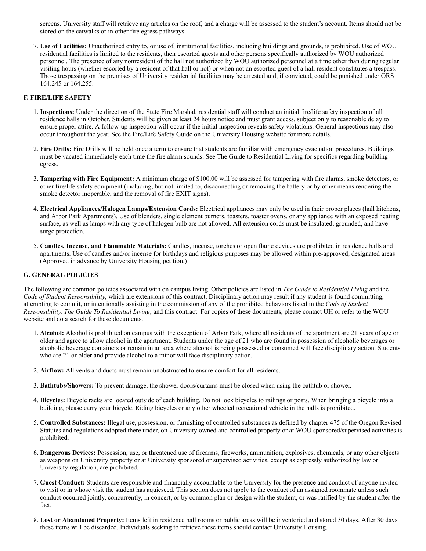screens. University staff will retrieve any articles on the roof, and a charge will be assessed to the student's account. Items should not be stored on the catwalks or in other fire egress pathways.

7. **Use of Facilities:** Unauthorized entry to, or use of, institutional facilities, including buildings and grounds, is prohibited. Use of WOU residential facilities is limited to the residents, their escorted guests and other persons specifically authorized by WOU authorized personnel. The presence of any nonresident of the hall not authorized by WOU authorized personnel at a time other than during regular visiting hours (whether escorted by a resident of that hall or not) or when not an escorted guest of a hall resident constitutes a trespass. Those trespassing on the premises of University residential facilities may be arrested and, if convicted, could be punished under ORS 164.245 or 164.255.

## **F. FIRE/LIFE SAFETY**

- 1. **Inspections:** Under the direction of the State Fire Marshal, residential staff will conduct an initial fire/life safety inspection of all residence halls in October. Students will be given at least 24 hours notice and must grant access, subject only to reasonable delay to ensure proper attire. A follow-up inspection will occur if the initial inspection reveals safety violations. General inspections may also occur throughout the year. See the Fire/Life Safety Guide on the University Housing website for more details.
- 2. **Fire Drills:** Fire Drills will be held once a term to ensure that students are familiar with emergency evacuation procedures. Buildings must be vacated immediately each time the fire alarm sounds. See The Guide to Residential Living for specifics regarding building egress.
- 3. **Tampering with Fire Equipment:** A minimum charge of \$100.00 will be assessed for tampering with fire alarms, smoke detectors, or other fire/life safety equipment (including, but not limited to, disconnecting or removing the battery or by other means rendering the smoke detector inoperable, and the removal of fire EXIT signs).
- 4. **Electrical Appliances/Halogen Lamps/Extension Cords:** Electrical appliances may only be used in their proper places (hall kitchens, and Arbor Park Apartments). Use of blenders, single element burners, toasters, toaster ovens, or any appliance with an exposed heating surface, as well as lamps with any type of halogen bulb are not allowed. All extension cords must be insulated, grounded, and have surge protection.
- 5. **Candles, Incense, and Flammable Materials:** Candles, incense, torches or open flame devices are prohibited in residence halls and apartments. Use of candles and/or incense for birthdays and religious purposes may be allowed within pre-approved, designated areas. (Approved in advance by University Housing petition.)

#### **G. GENERAL POLICIES**

The following are common policies associated with on campus living. Other policies are listed in *The Guide to Residential Living* and the *Code of Student Responsibility*, which are extensions of this contract. Disciplinary action may result if any student is found committing, attempting to commit, or intentionally assisting in the commission of any of the prohibited behaviors listed in the *Code of Student Responsibility, The Guide To Residential Living*, and this contract. For copies of these documents, please contact UH or refer to the WOU website and do a search for these documents.

- 1. **Alcohol:** Alcohol is prohibited on campus with the exception of Arbor Park, where all residents of the apartment are 21 years of age or older and agree to allow alcohol in the apartment. Students under the age of 21 who are found in possession of alcoholic beverages or alcoholic beverage containers or remain in an area where alcohol is being possessed or consumed will face disciplinary action. Students who are 21 or older and provide alcohol to a minor will face disciplinary action.
- 2. **Airflow:** All vents and ducts must remain unobstructed to ensure comfort for all residents.
- 3. **Bathtubs/Showers:** To prevent damage, the shower doors/curtains must be closed when using the bathtub or shower.
- 4. **Bicycles:** Bicycle racks are located outside of each building. Do not lock bicycles to railings or posts. When bringing a bicycle into a building, please carry your bicycle. Riding bicycles or any other wheeled recreational vehicle in the halls is prohibited.
- 5. **Controlled Substances:** Illegal use, possession, or furnishing of controlled substances as defined by chapter 475 of the Oregon Revised Statutes and regulations adopted there under, on University owned and controlled property or at WOU sponsored/supervised activities is prohibited.
- 6. **Dangerous Devices:** Possession, use, or threatened use of firearms, fireworks, ammunition, explosives, chemicals, or any other objects as weapons on University property or at University sponsored or supervised activities, except as expressly authorized by law or University regulation, are prohibited.
- 7. **Guest Conduct:** Students are responsible and financially accountable to the University for the presence and conduct of anyone invited to visit or in whose visit the student has aquiesced. This section does not apply to the conduct of an assigned roommate unless such conduct occurred jointly, concurrently, in concert, or by common plan or design with the student, or was ratified by the student after the fact.
- 8. **Lost or Abandoned Property:** Items left in residence hall rooms or public areas will be inventoried and stored 30 days. After 30 days these items will be discarded. Individuals seeking to retrieve these items should contact University Housing.